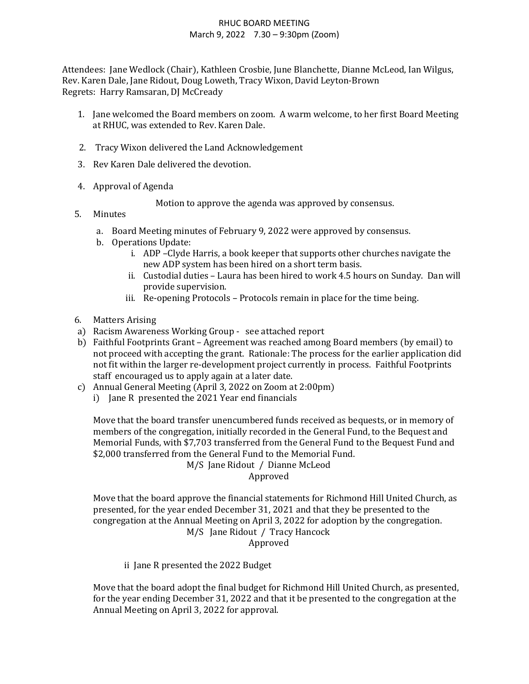## RHUC BOARD MEETING March 9, 2022 7.30 – 9:30pm (Zoom)

Attendees: Jane Wedlock (Chair), Kathleen Crosbie, June Blanchette, Dianne McLeod, Ian Wilgus, Rev. Karen Dale, Jane Ridout, Doug Loweth, Tracy Wixon, David Leyton-Brown Regrets: Harry Ramsaran, DJ McCready

- 1. Jane welcomed the Board members on zoom. A warm welcome, to her first Board Meeting at RHUC, was extended to Rev. Karen Dale.
- 2. Tracy Wixon delivered the Land Acknowledgement
- 3. Rev Karen Dale delivered the devotion.
- 4. Approval of Agenda

Motion to approve the agenda was approved by consensus.

- 5. Minutes
	- a. Board Meeting minutes of February 9, 2022 were approved by consensus.
	- b. Operations Update:
		- i. ADP –Clyde Harris, a book keeper that supports other churches navigate the new ADP system has been hired on a short term basis.
		- ii. Custodial duties Laura has been hired to work 4.5 hours on Sunday. Dan will provide supervision.
		- iii. Re-opening Protocols Protocols remain in place for the time being.
- 6. Matters Arising
- a) Racism Awareness Working Group see attached report
- b) Faithful Footprints Grant Agreement was reached among Board members (by email) to not proceed with accepting the grant. Rationale: The process for the earlier application did not fit within the larger re-development project currently in process. Faithful Footprints staff encouraged us to apply again at a later date.
- c) Annual General Meeting (April 3, 2022 on Zoom at 2:00pm)
	- i) Jane R presented the 2021 Year end financials

Move that the board transfer unencumbered funds received as bequests, or in memory of members of the congregation, initially recorded in the General Fund, to the Bequest and Memorial Funds, with \$7,703 transferred from the General Fund to the Bequest Fund and \$2,000 transferred from the General Fund to the Memorial Fund. M/S Jane Ridout / Dianne McLeod

Approved

Move that the board approve the financial statements for Richmond Hill United Church, as presented, for the year ended December 31, 2021 and that they be presented to the congregation at the Annual Meeting on April 3, 2022 for adoption by the congregation. M/S Jane Ridout / Tracy Hancock Approved

ii Jane R presented the 2022 Budget

Move that the board adopt the final budget for Richmond Hill United Church, as presented, for the year ending December 31, 2022 and that it be presented to the congregation at the Annual Meeting on April 3, 2022 for approval.